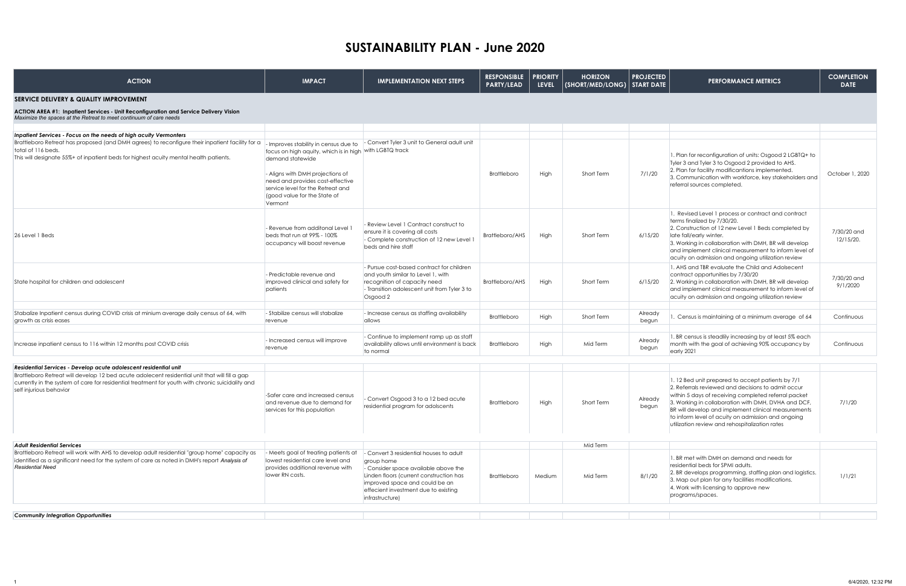| <b>ACTION</b>                                                                                                                                                                                                                                                                                    | <b>IMPACT</b>                                                                                                                                                                                                                                                                | <b>IMPLEMENTATION NEXT STEPS</b>                                                                                                                                                                                                    | <b>RESPONSIBLE</b><br><b>PARTY/LEAD</b> | <b>PRIORITY</b><br><b>LEVEL</b> | <b>HORIZON</b><br>(SHORT/MED/LONG)   START DATE | <b>PROJECTED</b> | <b>PERFORMANCE METRICS</b>                                                                                                                                                                                                                                                                                                                                                           | <b>COMPLETION</b><br><b>DATE</b> |
|--------------------------------------------------------------------------------------------------------------------------------------------------------------------------------------------------------------------------------------------------------------------------------------------------|------------------------------------------------------------------------------------------------------------------------------------------------------------------------------------------------------------------------------------------------------------------------------|-------------------------------------------------------------------------------------------------------------------------------------------------------------------------------------------------------------------------------------|-----------------------------------------|---------------------------------|-------------------------------------------------|------------------|--------------------------------------------------------------------------------------------------------------------------------------------------------------------------------------------------------------------------------------------------------------------------------------------------------------------------------------------------------------------------------------|----------------------------------|
| <b>SERVICE DELIVERY &amp; QUALITY IMPROVEMENT</b>                                                                                                                                                                                                                                                |                                                                                                                                                                                                                                                                              |                                                                                                                                                                                                                                     |                                         |                                 |                                                 |                  |                                                                                                                                                                                                                                                                                                                                                                                      |                                  |
| ACTION AREA #1: Inpatient Services - Unit Reconfiguration and Service Delivery Vision<br>Maximize the spaces at the Retreat to meet continuum of care needs                                                                                                                                      |                                                                                                                                                                                                                                                                              |                                                                                                                                                                                                                                     |                                         |                                 |                                                 |                  |                                                                                                                                                                                                                                                                                                                                                                                      |                                  |
| Inpatient Services - Focus on the needs of high acuity Vermonters                                                                                                                                                                                                                                |                                                                                                                                                                                                                                                                              |                                                                                                                                                                                                                                     |                                         |                                 |                                                 |                  |                                                                                                                                                                                                                                                                                                                                                                                      |                                  |
| Brattleboro Retreat has proposed (and DMH agrees) to reconfigure their inpatient facility for a<br>total of 116 beds.<br>This will designate 55%+ of inpatient beds for highest acuity mental health patients.                                                                                   | - Improves stability in census due to<br>focus on high aquity, which is in high with LGBTQ track<br>demand statewide<br>- Aligns with DMH projections of<br>need and provides cost-effective<br>service level for the Retreat and<br>(good value for the State of<br>Vermont | - Convert Tyler 3 unit to General adult unit                                                                                                                                                                                        | <b>Brattleboro</b>                      | High                            | Short Term                                      | 7/1/20           | 1. Plan for reconfiguration of units: Osgood 2 LGBTQ+ to<br>Tyler 3 and Tyler 3 to Osgood 2 provided to AHS.<br>2. Plan for facility modificantions implemented.<br>3. Communication with workforce, key stakeholders and<br>referral sources completed.                                                                                                                             | October 1, 2020                  |
| 26 Level 1 Beds                                                                                                                                                                                                                                                                                  | - Revenue from additonal Level<br>beds that run at 99% - 100%<br>occupancy will boost revenue                                                                                                                                                                                | - Review Level 1 Contract construct to<br>ensure it is covering all costs<br>- Complete construction of 12 new Level 1<br>beds and hire staff                                                                                       | Brattleboro/AHS                         | High                            | Short Term                                      | 6/15/20          | 1. Revised Level 1 process or contract and contract<br>terms finalized by 7/30/20.<br>2. Construction of 12 new Level 1 Beds completed by<br>late fall/early winter.<br>3. Working in collaboration with DMH, BR will develop<br>and implement clinical measurement to inform level of<br>acuity on admission and ongoing utilization review                                         | 7/30/20 and<br>12/15/20.         |
| State hospital for children and adolescent                                                                                                                                                                                                                                                       | - Predictable revenue and<br>improved clinical and safety for<br>patients                                                                                                                                                                                                    | - Pursue cost-based contract for children<br>and youth similar to Level 1, with<br>recognition of capacity need<br>- Transition adolescent unit from Tyler 3 to<br>Osgood 2                                                         | <b>Brattleboro/AHS</b>                  | High                            | Short Term                                      | 6/15/20          | 1. AHS and TBR evaluate the Child and Adolsecent<br>contract opportunities by 7/30/20<br>2. Working in collaboration with DMH, BR will develop<br>and implement clinical measurement to inform level of<br>acuity on admission and ongoing utilization review                                                                                                                        | 7/30/20 and<br>9/1/2020          |
|                                                                                                                                                                                                                                                                                                  |                                                                                                                                                                                                                                                                              |                                                                                                                                                                                                                                     |                                         |                                 |                                                 |                  |                                                                                                                                                                                                                                                                                                                                                                                      |                                  |
| Stabalize Inpatient census during COVID crisis at minium average daily census of 64, with<br>growth as crisis eases                                                                                                                                                                              | - Stabilize census will stabalize<br>revenue                                                                                                                                                                                                                                 | - Increase census as staffing availability<br>allows                                                                                                                                                                                | <b>Brattleboro</b>                      | High                            | Short Term                                      | Already<br>begun | Census is maintaining at a minimum average of 64                                                                                                                                                                                                                                                                                                                                     | Continuous                       |
|                                                                                                                                                                                                                                                                                                  |                                                                                                                                                                                                                                                                              |                                                                                                                                                                                                                                     |                                         |                                 |                                                 |                  |                                                                                                                                                                                                                                                                                                                                                                                      |                                  |
| Increase inpatient census to 116 within 12 months post COVID crisis                                                                                                                                                                                                                              | - Increased census will improve<br>revenue                                                                                                                                                                                                                                   | - Continue to implement ramp up as staff<br>availability allows until environment is back<br>to normal                                                                                                                              | <b>Brattleboro</b>                      | High                            | Mid Term                                        | Already<br>begun | 1. BR census is steadlily increasing by at least 5% each<br>month with the goal of achieving 90% occupancy by<br>early 2021                                                                                                                                                                                                                                                          | Continuous                       |
|                                                                                                                                                                                                                                                                                                  |                                                                                                                                                                                                                                                                              |                                                                                                                                                                                                                                     |                                         |                                 |                                                 |                  |                                                                                                                                                                                                                                                                                                                                                                                      |                                  |
| Residential Services - Develop acute adolescent residential unit<br>Brattleboro Retreat will develop 12 bed acute adolecent residential unit that will fill a gap<br>currently in the system of care for residential treatment for youth with chronic suicidality and<br>self injurious behavior | -Safer care and increased census<br>and revenue due to demand for<br>services for this population                                                                                                                                                                            | - Convert Osgood 3 to a 12 bed acute<br>residential program for adolscents                                                                                                                                                          | <b>Brattleboro</b>                      | High                            | Short Term                                      | Already<br>begun | 1.12 Bed unit prepared to accept patients by 7/1<br>2. Referrals reviewed and decisions to admit occur<br>within 5 days of receiving completed referral packet<br>3. Working in collaboration with DMH, DVHA and DCF,<br>BR will develop and implement clinical measurements<br>to inform level of acuity on admission and ongoing<br>utilization review and rehospitalization rates | 7/1/20                           |
| <b>Adult Residential Services</b>                                                                                                                                                                                                                                                                |                                                                                                                                                                                                                                                                              |                                                                                                                                                                                                                                     |                                         |                                 | Mid Term                                        |                  |                                                                                                                                                                                                                                                                                                                                                                                      |                                  |
| Brattleboro Retreat will work with AHS to develop adult residential "group home" capacity as<br>identified as a significant need for the system of care as noted in DMH's report Analysis of<br><b>Residential Need</b>                                                                          | - Meets goal of treating patients at<br>lowest residential care level and<br>provides additional revenue with<br>lower RN costs.                                                                                                                                             | Convert 3 residential houses to adult<br>group home<br>- Consider space available above the<br>Linden floors (current construction has<br>improved space and could be an<br>effecient investment due to existing<br>infrastructure) | <b>Brattleboro</b>                      | Medium                          | Mid Term                                        | 8/1/20           | 1. BR met with DMH on demand and needs for<br>residential beds for SPMI adults.<br>2. BR develops programming, staffing plan and logistics.<br>3. Map out plan for any facilities modifications.<br>4. Work with licensing to approve new<br>programs/spaces.                                                                                                                        | 1/1/21                           |
|                                                                                                                                                                                                                                                                                                  |                                                                                                                                                                                                                                                                              |                                                                                                                                                                                                                                     |                                         |                                 |                                                 |                  |                                                                                                                                                                                                                                                                                                                                                                                      |                                  |
| <b>Community Integration Opportunities</b>                                                                                                                                                                                                                                                       |                                                                                                                                                                                                                                                                              |                                                                                                                                                                                                                                     |                                         |                                 |                                                 |                  |                                                                                                                                                                                                                                                                                                                                                                                      |                                  |

 $\overline{1}$ 

## **SUSTAINABILITY PLAN - June 2020**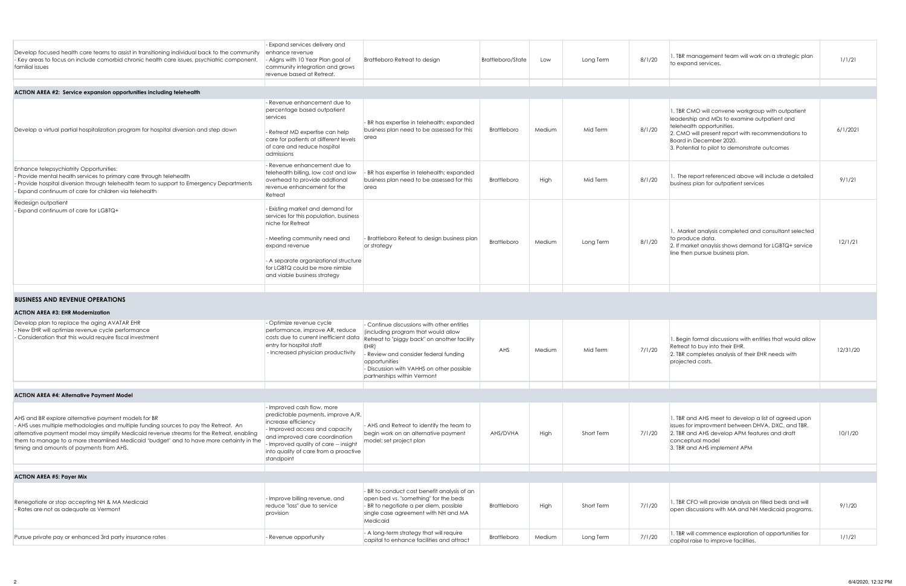| ttleboro/State | Low    | Long Term  | 8/1/20 | 1. TBR management team will work on a strategic plan<br>to expand services.                                                                                                                                                                                      | 1/1/21   |
|----------------|--------|------------|--------|------------------------------------------------------------------------------------------------------------------------------------------------------------------------------------------------------------------------------------------------------------------|----------|
|                |        |            |        |                                                                                                                                                                                                                                                                  |          |
| Brattleboro    | Medium | Mid Term   | 8/1/20 | 1. TBR CMO will convene workgroup with outpatient<br>leadership and MDs to examine outpatient and<br>telehealth opportunities.<br>2. CMO will present report with recommendations to<br>Board in December 2020.<br>3. Potential to pilot to demonstrate outcomes | 6/1/2021 |
| Brattleboro    | High   | Mid Term   | 8/1/20 | 1. The report referenced above will include a detailed<br>business plan for outpatient services                                                                                                                                                                  | 9/1/21   |
| Brattleboro    | Medium | Long Term  | 8/1/20 | 1. Market analysis completed and consultant selected<br>to produce data.<br>2. If market anaylsis shows demand for LGBTQ+ service<br>line then pursue business plan.                                                                                             | 12/1/21  |
|                |        |            |        |                                                                                                                                                                                                                                                                  |          |
| AHS            | Medium | Mid Term   | 7/1/20 | 1. Begin formal discussions with entities that would allow<br>Retreat to buy into their EHR.<br>2. TBR completes analysis of their EHR needs with<br>projected costs.                                                                                            | 12/31/20 |
|                |        |            |        |                                                                                                                                                                                                                                                                  |          |
| AHS/DVHA       | High   | Short Term | 7/1/20 | 1. TBR and AHS meet to develop a list of agreed upon<br>issues for improvment between DHVA, DXC, and TBR.<br>2. TBR and AHS develop APM features and draft<br>conceptual model<br>3. TBR and AHS implement APM                                                   | 10/1/20  |
|                |        |            |        |                                                                                                                                                                                                                                                                  |          |
| Brattleboro    | High   | Short Term | 7/1/20 | 1. TBR CFO will provide analysis on filled beds and will<br>open discussions with MA and NH Medicaid programs.                                                                                                                                                   | 9/1/20   |
| Brattleboro    | Medium | Long Term  | 7/1/20 | 1. TBR will commence exploration of opportunities for<br>capital raise to improve facilities.                                                                                                                                                                    | 1/1/21   |

| Develop focused health care teams to assist in transitioning individual back to the community<br>- Key areas to focus on include comorbid chronic health care issues, psychiatric component,<br>familial issues                                                    | - Expand services delivery and<br>enhance revenue<br>- Aligns with 10 Year Plan goal of<br>community integration and grows<br>revenue based at Retreat.                                                                                                      | Brattleboro Retreat to design                                                                         | Brattleboro/State  | Low    | Long Term | 8/1/20 | 1. TBR management team will work on a strategic plan<br>to expand services.                                                                                                                                                                                      | 1/1/2  |
|--------------------------------------------------------------------------------------------------------------------------------------------------------------------------------------------------------------------------------------------------------------------|--------------------------------------------------------------------------------------------------------------------------------------------------------------------------------------------------------------------------------------------------------------|-------------------------------------------------------------------------------------------------------|--------------------|--------|-----------|--------|------------------------------------------------------------------------------------------------------------------------------------------------------------------------------------------------------------------------------------------------------------------|--------|
|                                                                                                                                                                                                                                                                    |                                                                                                                                                                                                                                                              |                                                                                                       |                    |        |           |        |                                                                                                                                                                                                                                                                  |        |
| ACTION AREA #2: Service expansion opportunities including telehealth                                                                                                                                                                                               |                                                                                                                                                                                                                                                              |                                                                                                       |                    |        |           |        |                                                                                                                                                                                                                                                                  |        |
| Develop a virtual partial hospitalization program for hospital diversion and step down                                                                                                                                                                             | - Revenue enhancement due to<br>percentage based outpatient<br>services<br>- Retreat MD expertise can help<br>care for patients at different levels<br>of care and reduce hospital<br>admissions                                                             | - BR has expertise in telehealth; expanded<br>business plan need to be assessed for this<br>area      | Brattleboro        | Medium | Mid Term  | 8/1/20 | 1. TBR CMO will convene workgroup with outpatient<br>leadership and MDs to examine outpatient and<br>telehealth opportunities.<br>2. CMO will present report with recommendations to<br>Board in December 2020.<br>3. Potential to pilot to demonstrate outcomes | 6/1/20 |
| Enhance telepsychiatrity Opportunities:<br>- Provide mental health services to primary care through telehealth<br>- Provide hospital diversion through telehealth team to support to Emergency Departments<br>Expand continuum of care for children via telehealth | - Revenue enhancement due to<br>telehealth billing, low cost and low<br>overhead to provide additional<br>revenue enhancement for the<br>Retreat                                                                                                             | BR has expertise in telehealth; expanded<br>business plan need to be assessed for this<br><b>area</b> | <b>Brattleboro</b> | High   | Mid Term  | 8/1/20 | 1. The report referenced above will include a detailed<br>business plan for outpatient services                                                                                                                                                                  | 9/1/2  |
| Redesign outpatient<br>- Expand continuum of care for LGBTQ+                                                                                                                                                                                                       | - Existing market and demand for<br>services for this population, business<br>niche for Retreat<br>- Meeting community need and<br>expand revenue<br>- A separate organizational structure<br>for LGBTQ could be more nimble<br>and viable business strategy | - Brattleboro Reteat to design business plan<br>or strategy                                           | <b>Brattleboro</b> | Medium | Long Term | 8/1/20 | 1. Market analysis completed and consultant selected<br>to produce data.<br>2. If market anaylsis shows demand for LGBTQ+ service<br>line then pursue business plan.                                                                                             | 12/1/2 |
| <b>BUSINESS AND REVENUE OPERATIONS</b>                                                                                                                                                                                                                             |                                                                                                                                                                                                                                                              |                                                                                                       |                    |        |           |        |                                                                                                                                                                                                                                                                  |        |
| <b>ACTION AREA #3: EHR Modernization</b>                                                                                                                                                                                                                           |                                                                                                                                                                                                                                                              |                                                                                                       |                    |        |           |        |                                                                                                                                                                                                                                                                  |        |
|                                                                                                                                                                                                                                                                    |                                                                                                                                                                                                                                                              |                                                                                                       |                    |        |           |        |                                                                                                                                                                                                                                                                  |        |

| Develop plan to replace the aging AVATAR EHR<br>- New EHR will optimize revenue cycle performance<br>- Consideration that this would require fiscal investment                                                                                                                                                                                                                     | - Optimize revenue cycle<br>berformance, improve AR, reduce<br>costs due to current inefficient data<br>entry for hospital staff<br>- Increased physician productivity                                                                                      | - Continue discussions with other entities<br>(including program that would allow<br>Retreat to "piggy back" on another facility<br>EHR)<br>Review and consider federal fundina -<br>opportunities<br>- Discussion with VAHHS on other possible<br>partnerships within Vermont | AHS                | Medium | Mid Term   | 7/1/20 | 1. Begin formal discussions with entities that would allow<br>Retreat to buy into their EHR.<br>2. TBR completes analysis of their EHR needs with<br>projected costs.                                          | 12/31/2 |
|------------------------------------------------------------------------------------------------------------------------------------------------------------------------------------------------------------------------------------------------------------------------------------------------------------------------------------------------------------------------------------|-------------------------------------------------------------------------------------------------------------------------------------------------------------------------------------------------------------------------------------------------------------|--------------------------------------------------------------------------------------------------------------------------------------------------------------------------------------------------------------------------------------------------------------------------------|--------------------|--------|------------|--------|----------------------------------------------------------------------------------------------------------------------------------------------------------------------------------------------------------------|---------|
|                                                                                                                                                                                                                                                                                                                                                                                    |                                                                                                                                                                                                                                                             |                                                                                                                                                                                                                                                                                |                    |        |            |        |                                                                                                                                                                                                                |         |
| <b>ACTION AREA #4: Alternative Payment Model</b>                                                                                                                                                                                                                                                                                                                                   |                                                                                                                                                                                                                                                             |                                                                                                                                                                                                                                                                                |                    |        |            |        |                                                                                                                                                                                                                |         |
| AHS and BR explore alternative payment models for BR<br>- AHS uses multiple methodologies and multiple funding sources to pay the Retreat. An<br>alternative payment model may simplify Medicaid revenue streams for the Retreat, enabling<br>them to manage to a more streamlined Medicaid 'budget' and to have more certainty in the<br>timing and amounts of payments from AHS. | - Improved cash flow, more<br>predictable payments, improve A/R,<br>increase efficiency<br>- Improved access and capacity<br>and improved care coordination<br>- Improved quality of care -- insight<br>into quality of care from a proactive<br>standpoint | - AHS and Retreat to identify the team to<br>begin work on an alternative payment<br>model; set project plan                                                                                                                                                                   | AHS/DVHA           | High   | Short Term | 7/1/20 | 1. TBR and AHS meet to develop a list of agreed upon<br>issues for improvment between DHVA, DXC, and TBR.<br>2. TBR and AHS develop APM features and draft<br>conceptual model<br>3. TBR and AHS implement APM | 10/1/2  |
| <b>ACTION AREA #5: Payer Mix</b>                                                                                                                                                                                                                                                                                                                                                   |                                                                                                                                                                                                                                                             |                                                                                                                                                                                                                                                                                |                    |        |            |        |                                                                                                                                                                                                                |         |
| Renegotiate or stop accepting NH & MA Medicaid<br>- Rates are not as adequate as Vermont                                                                                                                                                                                                                                                                                           | - Improve billing revenue, and<br>reduce "loss" due to service<br>provision                                                                                                                                                                                 | - BR to conduct cost benefit analysis of an<br>open bed vs. "something" for the beds<br>- BR to negotiate a per diem, possible<br>single case agreement with NH and MA<br>Medicaid                                                                                             | <b>Brattleboro</b> | Hiah   | Short Term | 7/1/20 | 1. TBR CFO will provide analysis on filled beds and will<br>open discussions with MA and NH Medicaid programs.                                                                                                 | 9/1/20  |
| Pursue private pay or enhanced 3rd party insurance rates                                                                                                                                                                                                                                                                                                                           | - Revenue opportunity                                                                                                                                                                                                                                       | - A long-term strategy that will require<br>capital to enhance facilities and attract                                                                                                                                                                                          | <b>Brattleboro</b> | Medium | Long Term  | 7/1/20 | 1. TBR will commence exploration of opportunities for<br>capital raise to improve facilities.                                                                                                                  | 1/1/2   |